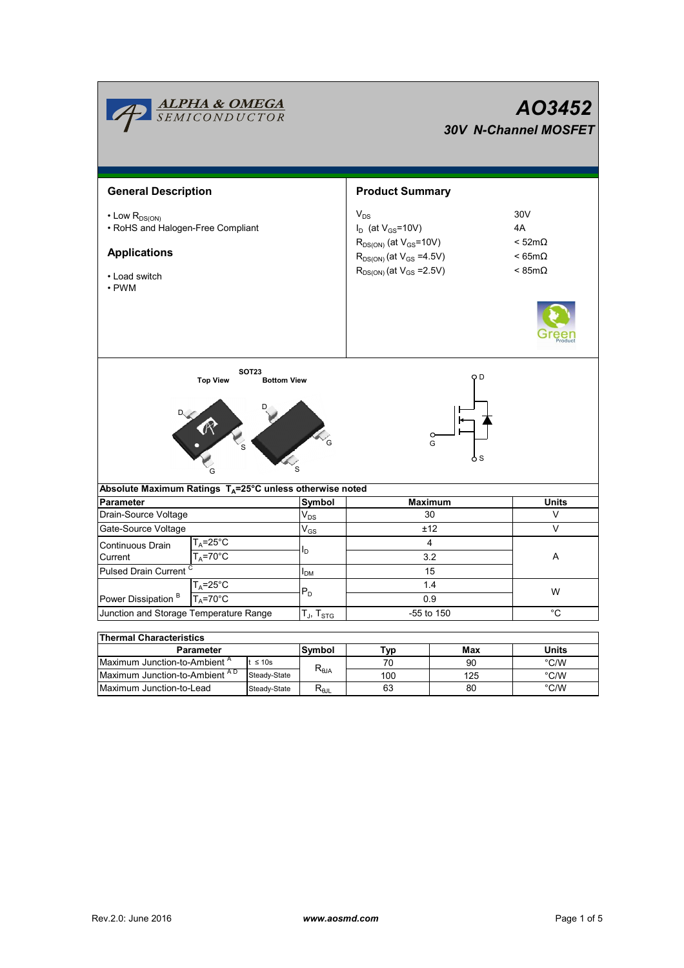|                                                                                                                      | <b>ALPHA &amp; OMEGA</b><br>SEMICONDUCTOR |                                    |                                                    | AO3452<br><b>30V N-Channel MOSFET</b>                                                                                                               |                                                                 |               |  |  |
|----------------------------------------------------------------------------------------------------------------------|-------------------------------------------|------------------------------------|----------------------------------------------------|-----------------------------------------------------------------------------------------------------------------------------------------------------|-----------------------------------------------------------------|---------------|--|--|
| <b>General Description</b>                                                                                           |                                           |                                    |                                                    | <b>Product Summary</b>                                                                                                                              |                                                                 |               |  |  |
| $\cdot$ Low $R_{DS(ON)}$<br>• RoHS and Halogen-Free Compliant<br><b>Applications</b><br>• Load switch<br>$\cdot$ PWM |                                           |                                    |                                                    | $V_{DS}$<br>$I_D$ (at $V_{GS}$ =10V)<br>$R_{DS(ON)}$ (at $V_{GS}$ =10V)<br>$R_{DS(ON)}$ (at $V_{GS} = 4.5V$ )<br>$R_{DS(ON)}$ (at $V_{GS} = 2.5V$ ) | 30V<br>4A<br>$<$ 52m $\Omega$<br>$< 65m\Omega$<br>$< 85m\Omega$ |               |  |  |
|                                                                                                                      | <b>Top View</b>                           | <b>SOT23</b><br><b>Bottom View</b> |                                                    | ОD<br>G<br>o s                                                                                                                                      |                                                                 |               |  |  |
| Absolute Maximum Ratings $T_A = 25^\circ \text{C}$ unless otherwise noted                                            |                                           |                                    |                                                    |                                                                                                                                                     |                                                                 |               |  |  |
| <b>Parameter</b>                                                                                                     |                                           |                                    | Symbol                                             | Maximum                                                                                                                                             |                                                                 | <b>Units</b>  |  |  |
| Drain-Source Voltage                                                                                                 |                                           |                                    | $V_{DS}$                                           | 30                                                                                                                                                  |                                                                 | V             |  |  |
| Gate-Source Voltage                                                                                                  |                                           |                                    | $\mathsf{V}_{\mathsf{GS}}$                         | ±12                                                                                                                                                 |                                                                 | V             |  |  |
| Continuous Drain<br>Current                                                                                          | T <sub>A</sub> =25°C<br>$T_A = 70$ °C     |                                    | I <sub>D</sub>                                     | $\overline{4}$<br>3.2                                                                                                                               |                                                                 | A             |  |  |
| Pulsed Drain Current                                                                                                 |                                           |                                    | $I_{DM}$                                           | 15                                                                                                                                                  |                                                                 |               |  |  |
| $T_A = 25^\circ C$                                                                                                   |                                           |                                    |                                                    | 1.4                                                                                                                                                 |                                                                 | W             |  |  |
| Power Dissipation <sup>B</sup><br>$T_A = 70^\circ C$                                                                 |                                           |                                    | $P_D$                                              | 0.9                                                                                                                                                 |                                                                 |               |  |  |
| Junction and Storage Temperature Range                                                                               |                                           |                                    | T $_{\sf J}$ , T $_{\sf STG}$                      | -55 to 150                                                                                                                                          |                                                                 | $^{\circ}C$   |  |  |
|                                                                                                                      |                                           |                                    |                                                    |                                                                                                                                                     |                                                                 |               |  |  |
| <b>Thermal Characteristics</b>                                                                                       |                                           |                                    |                                                    |                                                                                                                                                     |                                                                 |               |  |  |
| <b>Parameter</b>                                                                                                     |                                           |                                    | Symbol                                             | Typ                                                                                                                                                 | Max                                                             | Units         |  |  |
| Maximum Junction-to-Ambient <sup>A</sup><br>$t \leq 10s$                                                             |                                           |                                    | $\mathsf{R}_{\scriptscriptstyle\theta\mathsf{JA}}$ | 70                                                                                                                                                  | 90                                                              | °C/W          |  |  |
| Maximum Junction-to-Ambient AD                                                                                       |                                           | Steady-State                       |                                                    | 100                                                                                                                                                 | 125                                                             | $\degree$ C/W |  |  |

125 80

63

Steady-State  $R_{\theta$ JL

Maximum Junction-to-Lead Steady-State R<sub>eJL</sub> 63 80 °C/W

 $\overline{\phantom{a}}$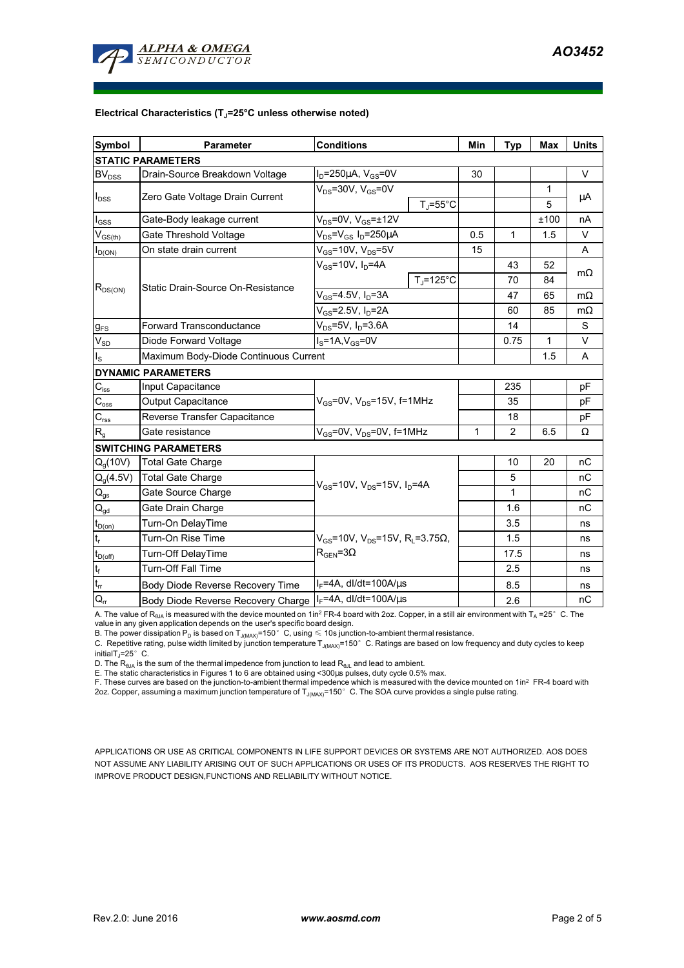

## **Electrical Characteristics (TJ=25°C unless otherwise noted)**

| <b>Symbol</b>               | <b>Conditions</b><br><b>Parameter</b>                     |                                                       | Min | <b>Typ</b>   | <b>Max</b>        | <b>Units</b> |  |  |  |  |  |
|-----------------------------|-----------------------------------------------------------|-------------------------------------------------------|-----|--------------|-------------------|--------------|--|--|--|--|--|
| <b>STATIC PARAMETERS</b>    |                                                           |                                                       |     |              |                   |              |  |  |  |  |  |
| <b>BV<sub>DSS</sub></b>     | Drain-Source Breakdown Voltage                            | $I_D = 250 \mu A$ , $V_{GS} = 0V$                     | 30  |              |                   | $\vee$       |  |  |  |  |  |
| $I_{DSS}$                   | Zero Gate Voltage Drain Current                           | $V_{DS}$ =30V, $V_{GS}$ =0V<br>$T_{J} = 55^{\circ}$ C |     |              | $\mathbf{1}$<br>5 | $\mu$ A      |  |  |  |  |  |
| $I_{GSS}$                   | Gate-Body leakage current                                 | $V_{DS}$ =0V, $V_{GS}$ = $\pm$ 12V                    |     |              | ±100              | nA           |  |  |  |  |  |
| $V_{GS(th)}$                | Gate Threshold Voltage                                    | $V_{DS} = V_{GS} I_D = 250 \mu A$                     | 0.5 | 1            | 1.5               | V            |  |  |  |  |  |
| $I_{D(ON)}$                 | On state drain current                                    | $V_{GS}$ =10V, $V_{DS}$ =5V                           | 15  |              |                   | A            |  |  |  |  |  |
| $R_{DS(ON)}$                |                                                           | $V_{GS}$ =10V, $I_D$ =4A                              |     | 43           | 52                | $m\Omega$    |  |  |  |  |  |
|                             | Static Drain-Source On-Resistance                         | $T_{\rm J}$ =125°C                                    |     | 70           | 84                |              |  |  |  |  |  |
|                             |                                                           | $V_{GS}$ =4.5V, $I_D$ =3A                             |     | 47           | 65                | $m\Omega$    |  |  |  |  |  |
|                             |                                                           | $V_{GS}$ =2.5V, $I_D$ =2A                             |     | 60           | 85                | mΩ           |  |  |  |  |  |
| $g_{FS}$                    | <b>Forward Transconductance</b>                           | $V_{DS} = 5V$ , $I_D = 3.6A$                          |     | 14           |                   | S            |  |  |  |  |  |
| $V_{SD}$                    | Diode Forward Voltage                                     | $I_S = 1A$ , $V_{GS} = 0V$                            |     | 0.75         | 1                 | V            |  |  |  |  |  |
| $I_{\rm S}$                 | Maximum Body-Diode Continuous Current                     |                                                       |     | 1.5          | A                 |              |  |  |  |  |  |
|                             | <b>DYNAMIC PARAMETERS</b>                                 |                                                       |     |              |                   |              |  |  |  |  |  |
| $C_{\text{iss}}$            | Input Capacitance                                         |                                                       |     | 235          |                   | pF           |  |  |  |  |  |
| $C_{\rm{oss}}$              | Output Capacitance                                        | $V_{GS}$ =0V, $V_{DS}$ =15V, f=1MHz                   |     | 35           |                   | pF           |  |  |  |  |  |
| $C_{\rm rss}$               | Reverse Transfer Capacitance                              |                                                       |     | 18           |                   | pF           |  |  |  |  |  |
| $R_{g}$                     | Gate resistance                                           | $V_{GS}$ =0V, $V_{DS}$ =0V, f=1MHz                    | 1   | 2            | 6.5               | Ω            |  |  |  |  |  |
| <b>SWITCHING PARAMETERS</b> |                                                           |                                                       |     |              |                   |              |  |  |  |  |  |
| $Q_q(10V)$                  | <b>Total Gate Charge</b>                                  |                                                       |     | 10           | 20                | пC           |  |  |  |  |  |
| $Q_g(4.5V)$                 | <b>Total Gate Charge</b>                                  |                                                       |     | 5            |                   | nC           |  |  |  |  |  |
| $\mathsf{Q}_{\text{gs}}$    | Gate Source Charge                                        | $V_{GS}$ =10V, $V_{DS}$ =15V, $I_D$ =4A               |     | $\mathbf{1}$ |                   | nC           |  |  |  |  |  |
| $\mathsf{Q}_{\text{gd}}$    | Gate Drain Charge                                         |                                                       |     | 1.6          |                   | пC           |  |  |  |  |  |
| $t_{D(0n)}$                 | Turn-On DelayTime                                         |                                                       |     | 3.5          |                   | ns           |  |  |  |  |  |
| $\mathsf{t}_{\sf r}$        | Turn-On Rise Time                                         | $V_{GS}$ =10V, $V_{DS}$ =15V, R <sub>L</sub> =3.75Ω,  |     | 1.5          |                   | ns           |  |  |  |  |  |
| $t_{D(off)}$                | Turn-Off DelayTime                                        | $\rm R_{GEN}$ =3 $\Omega$                             |     | 17.5         |                   | ns           |  |  |  |  |  |
| $\mathsf{t}_{\mathsf{f}}$   | <b>Turn-Off Fall Time</b>                                 |                                                       |     | 2.5          |                   | ns           |  |  |  |  |  |
| $t_{rr}$                    | Body Diode Reverse Recovery Time                          | $I_F = 4A$ , dl/dt=100A/ $\mu$ s                      |     | 8.5          |                   | ns           |  |  |  |  |  |
| $\mathsf{Q}_{\mathsf{tr}}$  | Body Diode Reverse Recovery Charge   IF=4A, dl/dt=100A/us |                                                       |     | 2.6          |                   | nC           |  |  |  |  |  |

A. The value of  $R_{\theta_0A}$  is measured with the device mounted on 1in<sup>2</sup> FR-4 board with 2oz. Copper, in a still air environment with T<sub>A</sub> =25°C. The

value in any given application depends on the user's specific board design.<br>B. The power dissipation P<sub>D</sub> is based on T<sub>J(MAX)</sub>=150°C, using ≤ 10s junction-to-ambient thermal resistance.

C. Repetitive rating, pulse width limited by junction temperature  $T_{J(MAX)}$ =150°C. Ratings are based on low frequency and duty cycles to keep initialT<sub>J</sub>=25 $^{\circ}$  C.

D. The  $R_{\thetaJA}$  is the sum of the thermal impedence from junction to lead  $R_{\thetaJL}$  and lead to ambient.

E. The static characteristics in Figures 1 to 6 are obtained using <300µs pulses, duty cycle 0.5% max.

F. These curves are based on the junction-to-ambient thermal impedence which is measured with the device mounted on 1in<sup>2</sup> FR-4 board with 2oz. Copper, assuming a maximum junction temperature of  $T_{J(MAX)}$ =150°C. The SOA curve provides a single pulse rating.

APPLICATIONS OR USE AS CRITICAL COMPONENTS IN LIFE SUPPORT DEVICES OR SYSTEMS ARE NOT AUTHORIZED. AOS DOES NOT ASSUME ANY LIABILITY ARISING OUT OF SUCH APPLICATIONS OR USES OF ITS PRODUCTS. AOS RESERVES THE RIGHT TO IMPROVE PRODUCT DESIGN,FUNCTIONS AND RELIABILITY WITHOUT NOTICE.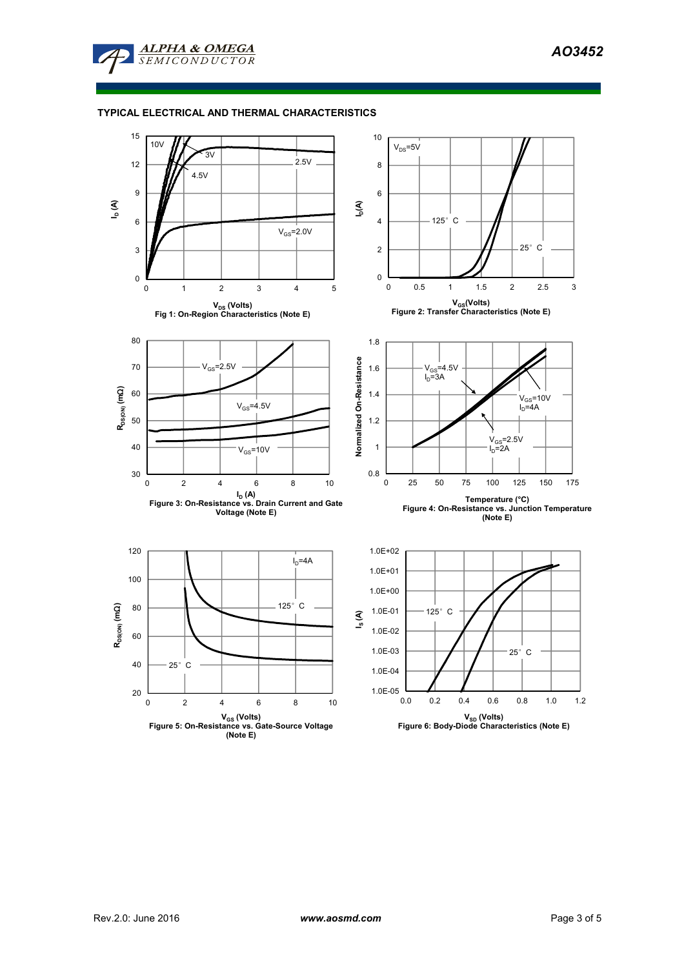

## **TYPICAL ELECTRICAL AND THERMAL CHARACTERISTICS**

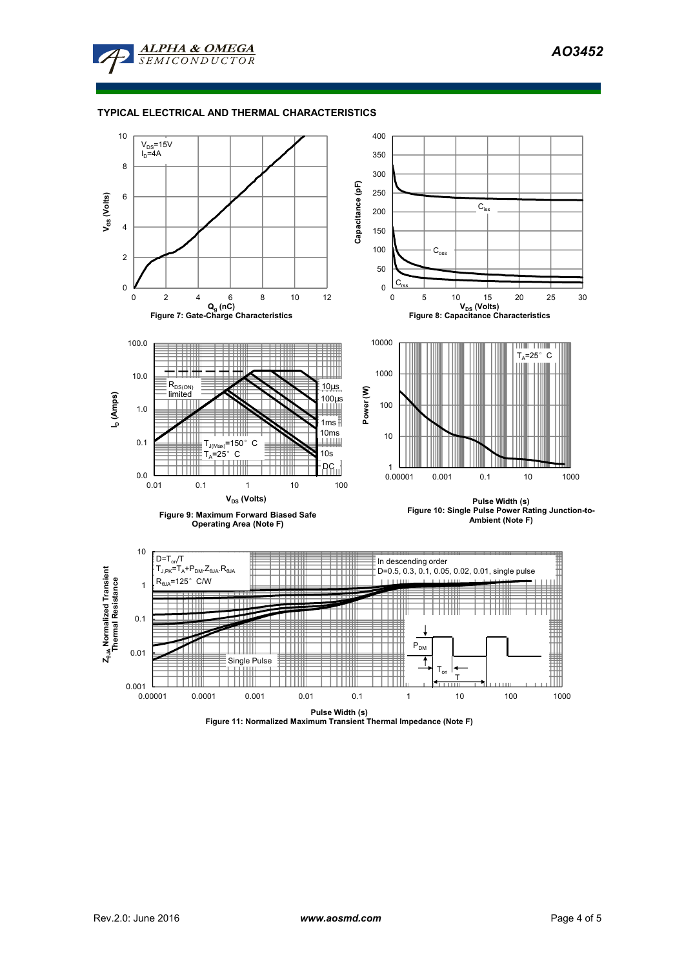*AO3452* 



## **TYPICAL ELECTRICAL AND THERMAL CHARACTERISTICS**